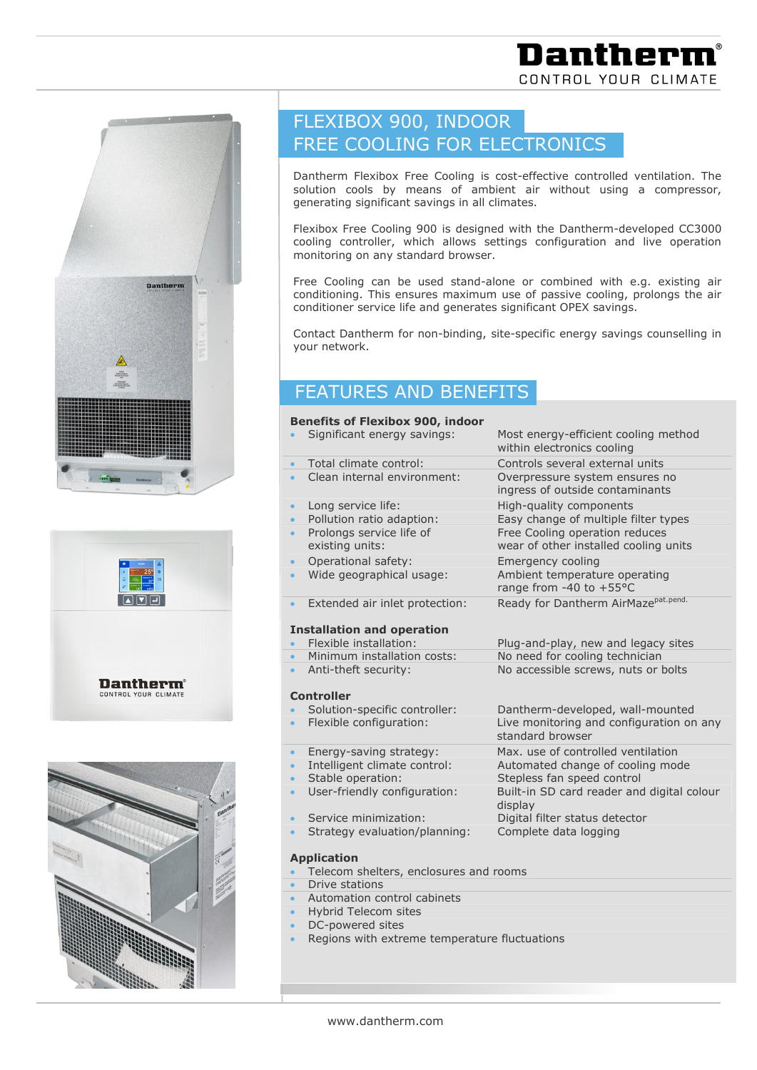







# FLEXIBOX 900, INDOOR FREE COOLING FOR ELECTRONICS

Dantherm Flexibox Free Cooling is cost-effective controlled ventilation. The solution cools by means of ambient air without using a compressor, generating significant savings in all climates.

Flexibox Free Cooling 900 is designed with the Dantherm-developed CC3000 cooling controller, which allows settings configuration and live operation monitoring on any standard browser.

Free Cooling can be used stand-alone or combined with e.g. existing air conditioning. This ensures maximum use of passive cooling, prolongs the air conditioner service life and generates significant OPEX savings.

Contact Dantherm for non-binding, site-specific energy savings counselling in your network.

### FEATURES AND BENEFITS

## **Benefits of Flexibox 900, indoor** 450

- 
- 
- 
- 
- 
- 
- 
- 
- 
- Extended air inlet protection: Ready for Dantherm AirMaze<sup>pat.pend.</sup>

#### **Installation and operation**

- 
- 
- 

#### **Controller**

- 
- 
- 
- 
- 
- User-friendly configuration: Built-in SD card reader and digital colour
- 
- Strategy evaluation/planning: Complete data logging

#### **Application**

- Telecom shelters, enclosures and rooms
- Drive stations
- Automation control cabinets
- Hybrid Telecom sites
- DC-powered sites
- Regions with extreme temperature fluctuations

 Significant energy savings: Most energy-efficient cooling method within electronics cooling Total climate control: Controls several external units Clean internal environment: Overpressure system ensures no ingress of outside contaminants Long service life: High-quality components Pollution ratio adaption: Easy change of multiple filter types Prolongs service life of Free Cooling operation reduces existing units: wear of other installed cooling units Operational safety: Emergency cooling Wide geographical usage: Ambient temperature operating range from -40 to +55°C

 Flexible installation: Plug-and-play, new and legacy sites Minimum installation costs: No need for cooling technician Anti-theft security: No accessible screws, nuts or bolts

 Solution-specific controller: Dantherm-developed, wall-mounted Flexible configuration: Live monitoring and configuration on any standard browser

 Energy-saving strategy: Max. use of controlled ventilation Intelligent climate control: Automated change of cooling mode

Stable operation: Stepless fan speed control

display

Service minimization: Digital filter status detector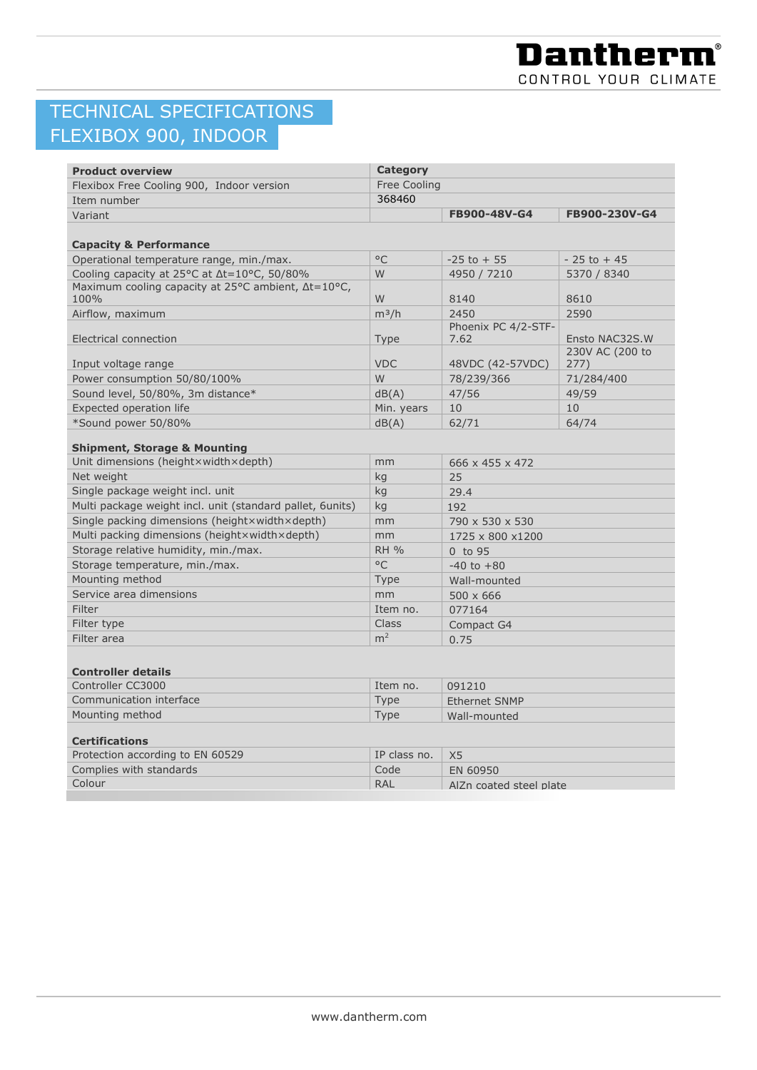## TECHNICAL SPECIFICATIONS FLEXIBOX 900, INDOOR

| <b>Product overview</b>                                       | <b>Category</b> |                         |                                   |  |
|---------------------------------------------------------------|-----------------|-------------------------|-----------------------------------|--|
| Flexibox Free Cooling 900, Indoor version                     | Free Cooling    |                         |                                   |  |
| Item number                                                   | 368460          |                         |                                   |  |
| Variant                                                       |                 | FB900-48V-G4            | FB900-230V-G4                     |  |
|                                                               |                 |                         |                                   |  |
| <b>Capacity &amp; Performance</b>                             |                 |                         |                                   |  |
| Operational temperature range, min./max.                      | $^{\circ}$ C    | $-25$ to $+55$          | $-25$ to $+45$                    |  |
| Cooling capacity at 25°C at $\Delta t = 10^{\circ}$ C, 50/80% | W               | 4950 / 7210             | 5370 / 8340                       |  |
| Maximum cooling capacity at 25°C ambient, ∆t=10°C,            |                 |                         |                                   |  |
| 100%                                                          | W               | 8140                    | 8610                              |  |
| Airflow, maximum                                              | $m^3/h$         | 2450                    | 2590                              |  |
|                                                               |                 | Phoenix PC 4/2-STF-     |                                   |  |
| Electrical connection                                         | <b>Type</b>     | 7.62                    | Ensto NAC32S.W<br>230V AC (200 to |  |
| Input voltage range                                           | <b>VDC</b>      | 48VDC (42-57VDC)        | 277)                              |  |
| Power consumption 50/80/100%                                  | W               | 78/239/366              | 71/284/400                        |  |
| Sound level, 50/80%, 3m distance*                             | dB(A)           | 47/56                   | 49/59                             |  |
| Expected operation life                                       | Min. years      | 10                      | 10                                |  |
| *Sound power 50/80%                                           | dB(A)           | 62/71                   | 64/74                             |  |
|                                                               |                 |                         |                                   |  |
| <b>Shipment, Storage &amp; Mounting</b>                       |                 |                         |                                   |  |
| Unit dimensions (heightxwidthxdepth)                          | mm              | 666 x 455 x 472         |                                   |  |
| Net weight                                                    | kg              | 25                      |                                   |  |
| Single package weight incl. unit                              | kg              | 29.4                    |                                   |  |
| Multi package weight incl. unit (standard pallet, 6units)     | kg              | 192                     |                                   |  |
| Single packing dimensions (heightxwidthxdepth)                | mm              | 790 x 530 x 530         |                                   |  |
| Multi packing dimensions (heightxwidthxdepth)                 | mm              | 1725 x 800 x1200        |                                   |  |
| Storage relative humidity, min./max.                          | <b>RH %</b>     | 0 to 95                 |                                   |  |
| Storage temperature, min./max.                                | $^{\circ}$ C    | $-40$ to $+80$          |                                   |  |
| Mounting method                                               | Type            | Wall-mounted            |                                   |  |
| Service area dimensions                                       | mm              | $500 \times 666$        |                                   |  |
| Filter                                                        | Item no.        | 077164                  |                                   |  |
| Filter type                                                   | <b>Class</b>    | Compact G4              |                                   |  |
| Filter area                                                   | m <sup>2</sup>  | 0.75                    |                                   |  |
|                                                               |                 |                         |                                   |  |
| <b>Controller details</b>                                     |                 |                         |                                   |  |
| Controller CC3000                                             | Item no.        | 091210                  |                                   |  |
| Communication interface                                       | Type            | <b>Ethernet SNMP</b>    |                                   |  |
| Mounting method                                               | Type            | Wall-mounted            |                                   |  |
|                                                               |                 |                         |                                   |  |
| <b>Certifications</b>                                         |                 |                         |                                   |  |
| Protection according to EN 60529                              | IP class no.    | X <sub>5</sub>          |                                   |  |
| Complies with standards                                       | Code            | EN 60950                |                                   |  |
| Colour                                                        | <b>RAL</b>      | AlZn coated steel plate |                                   |  |
|                                                               |                 |                         |                                   |  |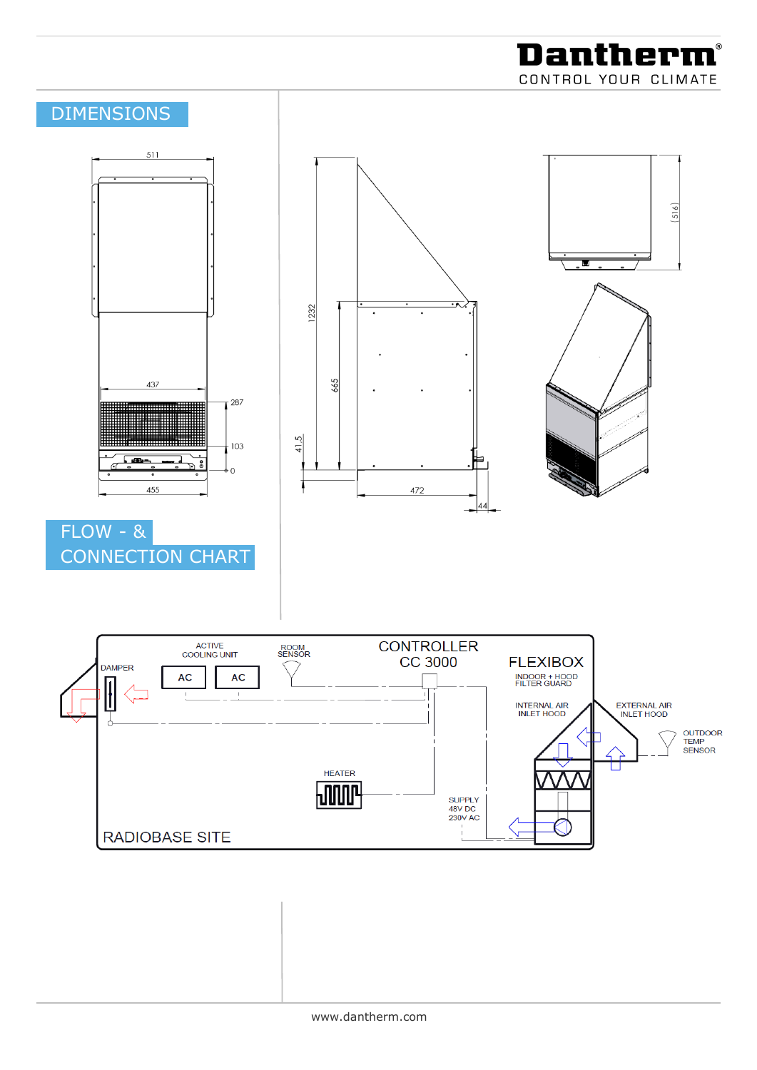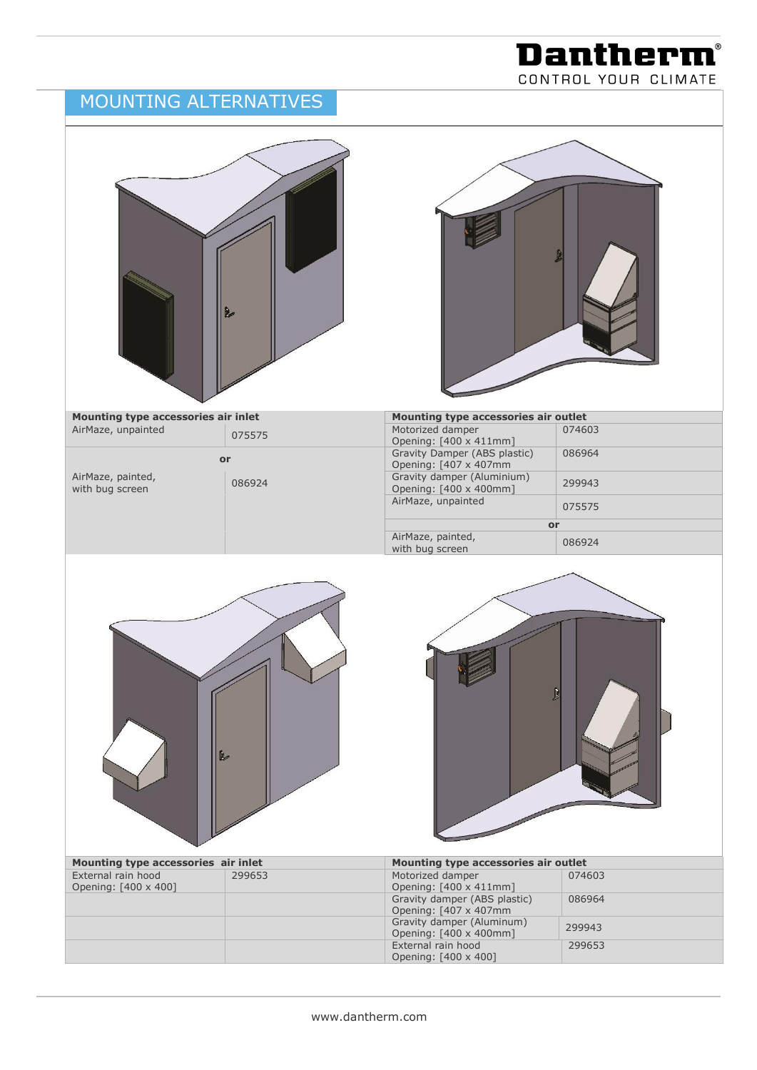### MOUNTING ALTERNATIVES



**Dantherm®** CONTROL YOUR CLIMATE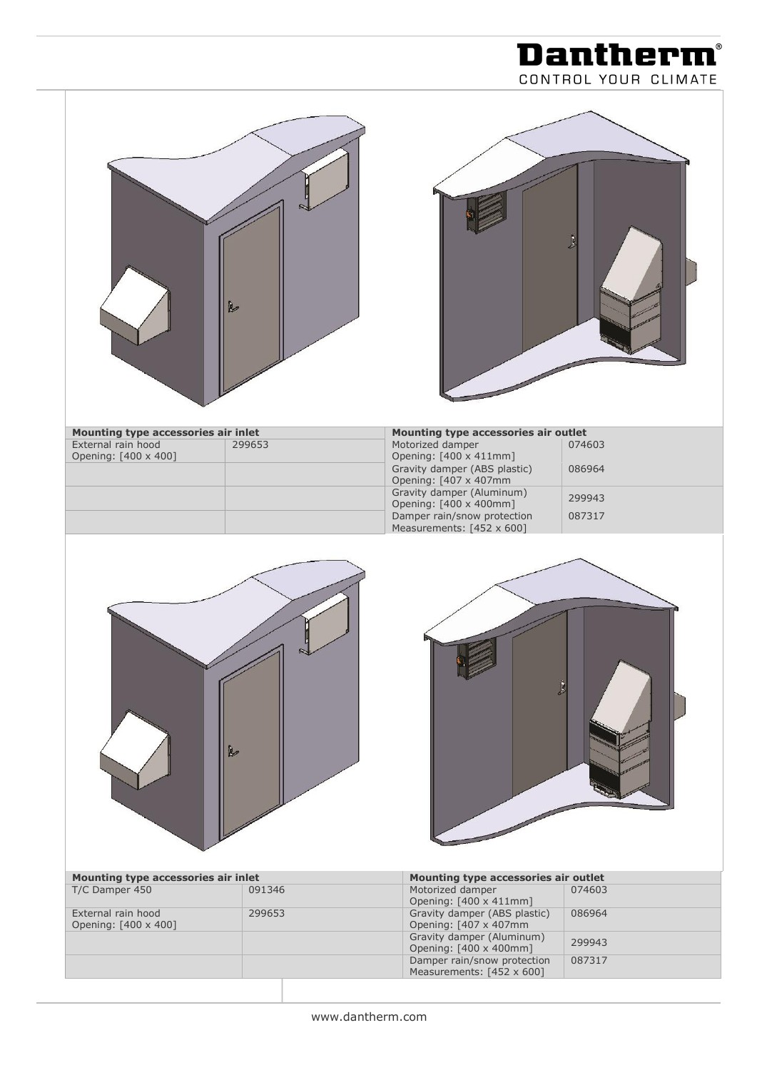|                                                                                                     |                  |                                                                                                                                                                                                                                                                | CONTROL YOUR CLIMATE                 |
|-----------------------------------------------------------------------------------------------------|------------------|----------------------------------------------------------------------------------------------------------------------------------------------------------------------------------------------------------------------------------------------------------------|--------------------------------------|
|                                                                                                     | R                |                                                                                                                                                                                                                                                                | B                                    |
| Mounting type accessories air inlet<br>External rain hood<br>Opening: [400 x 400]                   | 299653           | Mounting type accessories air outlet<br>Motorized damper<br>Opening: [400 x 411mm]<br>Gravity damper (ABS plastic)<br>Opening: [407 x 407mm<br>Gravity damper (Aluminum)<br>Opening: [400 x 400mm]<br>Damper rain/snow protection<br>Measurements: [452 x 600] | 074603<br>086964<br>299943<br>087317 |
|                                                                                                     | R                |                                                                                                                                                                                                                                                                | Ĵ                                    |
| Mounting type accessories air inlet<br>T/C Damper 450<br>External rain hood<br>Opening: [400 x 400] | 091346<br>299653 | Mounting type accessories air outlet<br>Motorized damper<br>Opening: [400 x 411mm]<br>Gravity damper (ABS plastic)<br>Opening: [407 x 407mm<br>Gravity damper (Aluminum)<br>Opening: [400 x 400mm]<br>Damper rain/snow protection<br>Measurements: [452 x 600] | 074603<br>086964<br>299943<br>087317 |

**Dantherm®**